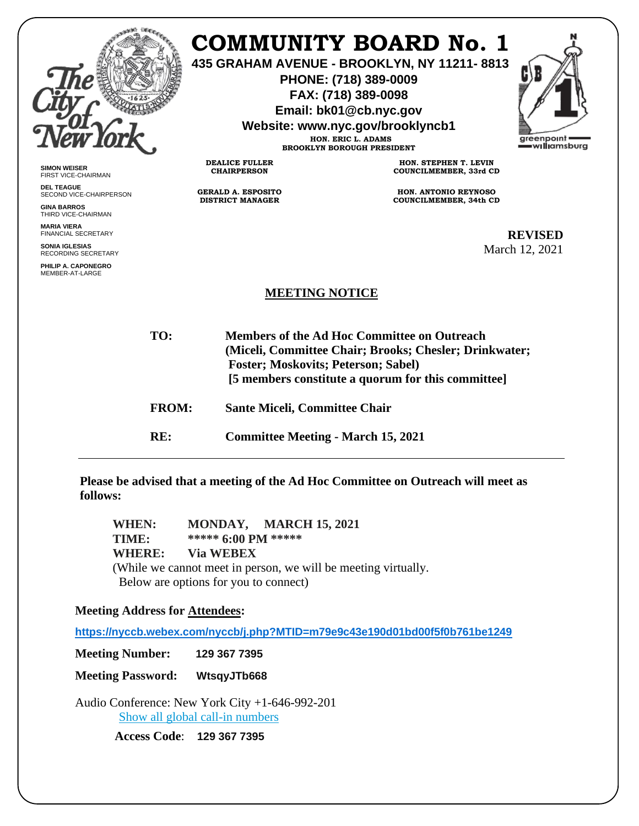|                                                                                           |                                                      | <b>COMMUNITY BOARD No. 1</b><br>435 GRAHAM AVENUE - BROOKLYN, NY 11211-8813<br>PHONE: (718) 389-0009<br>FAX: (718) 389-0098<br>Email: bk01@cb.nyc.gov<br>Website: www.nyc.gov/brooklyncb1<br>HON. ERIC L. ADAMS<br><b>BROOKLYN BOROUGH PRESIDENT</b> |                                                       | greenpoint<br>williamsburg |
|-------------------------------------------------------------------------------------------|------------------------------------------------------|------------------------------------------------------------------------------------------------------------------------------------------------------------------------------------------------------------------------------------------------------|-------------------------------------------------------|----------------------------|
| <b>SIMON WEISER</b><br><b>FIRST VICE-CHAIRMAN</b>                                         | <b>DEALICE FULLER</b><br><b>CHAIRPERSON</b>          |                                                                                                                                                                                                                                                      | HON. STEPHEN T. LEVIN<br>COUNCILMEMBER, 33rd CD       |                            |
| <b>DEL TEAGUE</b><br>SECOND VICE-CHAIRPERSON<br><b>GINA BARROS</b><br>THIRD VICE-CHAIRMAN | <b>GERALD A. ESPOSITO</b><br><b>DISTRICT MANAGER</b> |                                                                                                                                                                                                                                                      | HON. ANTONIO REYNOSO<br><b>COUNCILMEMBER, 34th CD</b> |                            |
| <b>MARIA VIERA</b><br>FINANCIAL SECRETARY                                                 |                                                      |                                                                                                                                                                                                                                                      |                                                       | <b>REVISED</b>             |
| <b>SONIA IGLESIAS</b><br><b>RECORDING SECRETARY</b>                                       |                                                      |                                                                                                                                                                                                                                                      |                                                       | March 12, 2021             |
| PHILIP A. CAPONEGRO<br>MEMBER-AT-LARGE                                                    |                                                      |                                                                                                                                                                                                                                                      |                                                       |                            |
| <b>MEETING NOTICE</b>                                                                     |                                                      |                                                                                                                                                                                                                                                      |                                                       |                            |
| TO:                                                                                       |                                                      | Members of the Ad Hoc Committee on Outreach<br>(Miceli, Committee Chair; Brooks; Chesler; Drinkwater;<br>Foster; Moskovits; Peterson; Sabel)<br>[5 members constitute a quorum for this committee]                                                   |                                                       |                            |
|                                                                                           | <b>FROM:</b>                                         | <b>Sante Miceli, Committee Chair</b>                                                                                                                                                                                                                 |                                                       |                            |
| RE:                                                                                       |                                                      | <b>Committee Meeting - March 15, 2021</b>                                                                                                                                                                                                            |                                                       |                            |

**Please be advised that a meeting of the Ad Hoc Committee on Outreach will meet as follows:**

**WHEN: MONDAY, MARCH 15, 2021 TIME: \*\*\*\*\* 6:00 PM \*\*\*\*\* WHERE: Via WEBEX** (While we cannot meet in person, we will be meeting virtually. Below are options for you to connect)

**Meeting Address for Attendees:** 

**<https://nyccb.webex.com/nyccb/j.php?MTID=m79e9c43e190d01bd00f5f0b761be1249>**

**Meeting Number: 129 367 7395**

**Meeting Password: WtsqyJTb668**

Audio Conference: New York City +1-646-992-201 [Show all global call-in numbers](https://nyccb.webex.com/cmp3300/webcomponents/widget/globalcallin/globalcallin.do?siteurl=nyccb&serviceType=EC&eventID=1101180212&tollFree=0)

**Access Code**: **129 367 7395**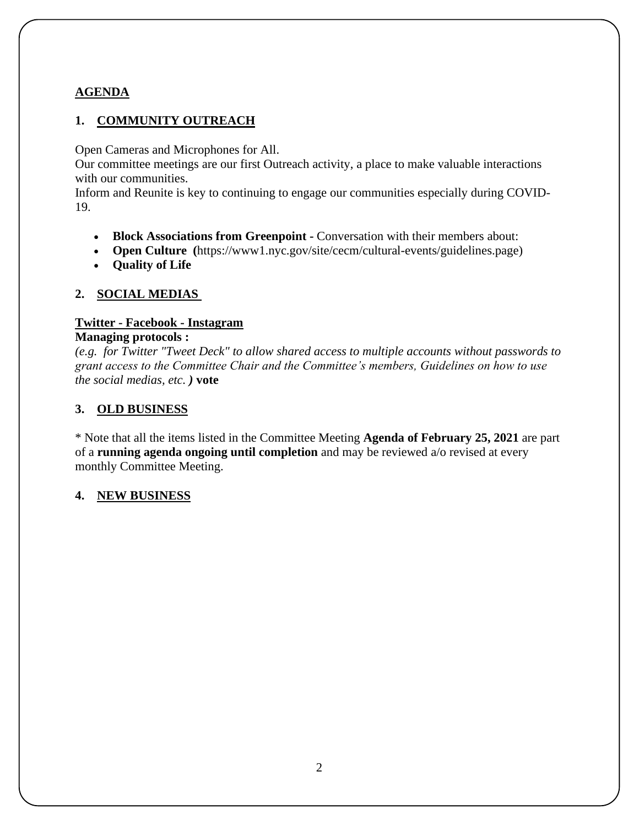# **AGENDA**

# **1. COMMUNITY OUTREACH**

Open Cameras and Microphones for All.

Our committee meetings are our first Outreach activity, a place to make valuable interactions with our communities.

Inform and Reunite is key to continuing to engage our communities especially during COVID-19.

- **Block Associations from Greenpoint -** Conversation with their members about:
- **Open Culture (**https://www1.nyc.gov/site/cecm/cultural-events/guidelines.page)
- **Quality of Life**

### **2. SOCIAL MEDIAS**

### **Twitter - Facebook - Instagram**

#### **Managing protocols :**

*(e.g. for Twitter "Tweet Deck" to allow shared access to multiple accounts without passwords to grant access to the Committee Chair and the Committee's members, Guidelines on how to use the social medias, etc. )* **vote**

### **3. OLD BUSINESS**

\* Note that all the items listed in the Committee Meeting **Agenda of February 25, 2021** are part of a **running agenda ongoing until completion** and may be reviewed a/o revised at every monthly Committee Meeting.

#### **4. NEW BUSINESS**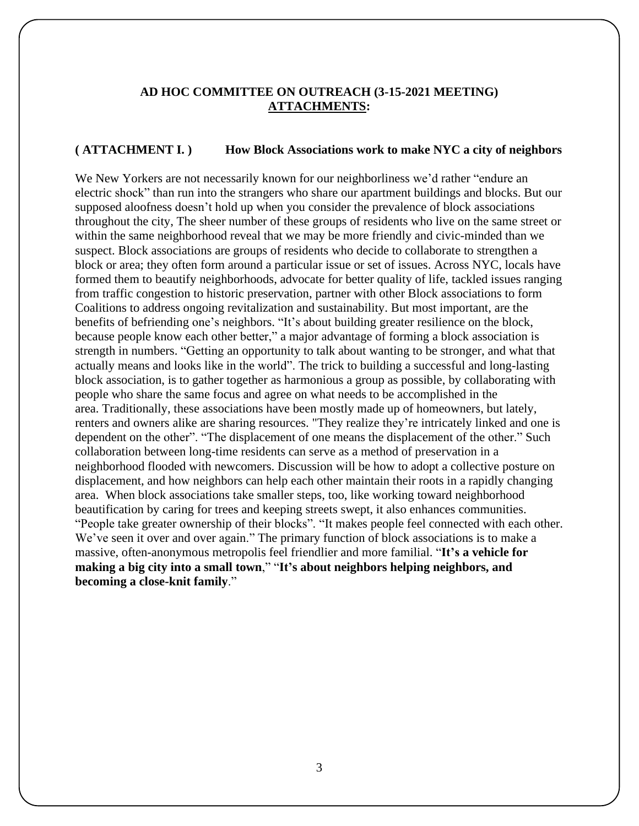### **AD HOC COMMITTEE ON OUTREACH (3-15-2021 MEETING) ATTACHMENTS:**

#### **( ATTACHMENT I. ) How Block Associations work to make NYC a city of neighbors**

We New Yorkers are not necessarily known for our neighborliness we'd rather "endure an electric shock" than run into the strangers who share our apartment buildings and blocks. But our supposed aloofness doesn't hold up when you consider the prevalence of block associations throughout the city, The sheer number of these groups of residents who live on the same street or within the same neighborhood reveal that we may be more friendly and civic-minded than we suspect. Block associations are groups of residents who decide to collaborate to strengthen a block or area; they often form around a particular issue or set of issues. Across NYC, locals have formed them to beautify neighborhoods, advocate for better quality of life, tackled issues ranging from traffic congestion to historic preservation, partner with other Block associations to form Coalitions to address ongoing revitalization and sustainability. But most important, are the benefits of befriending one's neighbors. "It's about building greater resilience on the block, because people know each other better," a major advantage of forming a block association is strength in numbers. "Getting an opportunity to talk about wanting to be stronger, and what that actually means and looks like in the world". The trick to building a successful and long-lasting block association, is to gather together as harmonious a group as possible, by collaborating with people who share the same focus and agree on what needs to be accomplished in the area. Traditionally, these associations have been mostly made up of homeowners, but lately, renters and owners alike are sharing resources. "They realize they're intricately linked and one is dependent on the other". "The displacement of one means the displacement of the other." Such collaboration between long-time residents can serve as a method of preservation in a neighborhood flooded with newcomers. Discussion will be how to adopt a collective posture on displacement, and how neighbors can help each other maintain their roots in a rapidly changing area. When block associations take smaller steps, too, like working toward neighborhood beautification by caring for trees and keeping streets swept, it also enhances communities. "People take greater ownership of their blocks". "It makes people feel connected with each other. We've seen it over and over again." The primary function of block associations is to make a massive, often-anonymous metropolis feel friendlier and more familial. "**It's a vehicle for making a big city into a small town**," "**It's about neighbors helping neighbors, and becoming a close-knit family**."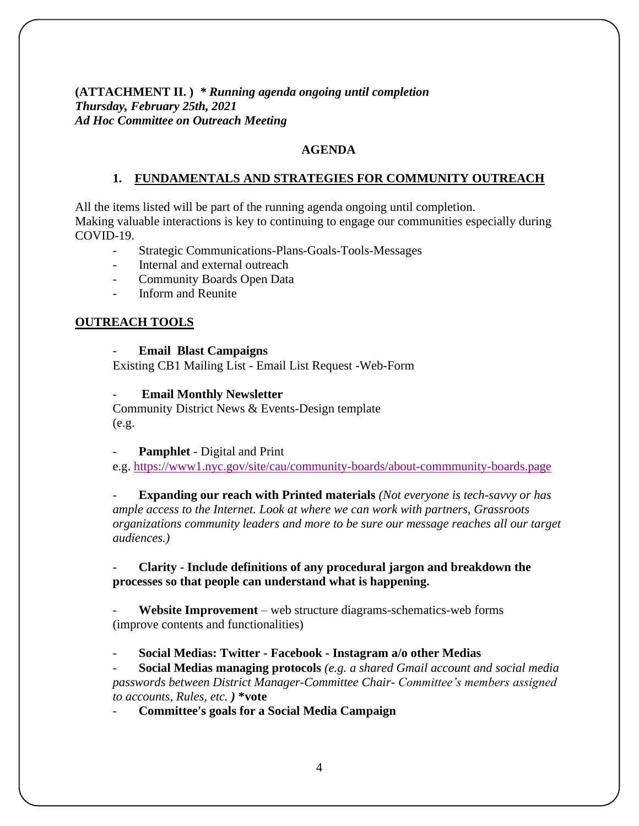**(ATTACHMENT II. )** *\* Running agenda ongoing until completion Thursday, February 25th, 2021 Ad Hoc Committee on Outreach Meeting* 

#### **AGENDA**

#### **1. FUNDAMENTALS AND STRATEGIES FOR COMMUNITY OUTREACH**

All the items listed will be part of the running agenda ongoing until completion. Making valuable interactions is key to continuing to engage our communities especially during COVID-19.

- Strategic Communications-Plans-Goals-Tools-Messages
- Internal and external outreach
- Community Boards Open Data
- Inform and Reunite

#### **OUTREACH TOOLS**

#### - **Email Blast Campaigns**

Existing CB1 Mailing List - Email List Request -Web-Form

- **Email Monthly Newsletter**

Community District News & Events-Design template (e.g.

Pamphlet - Digital and Print

e.g. [https://www1.nyc.gov/site/cau/community-boards/about-commmunity-boards.page](https://gcc02.safelinks.protection.outlook.com/?url=https%3A%2F%2Fwww1.nyc.gov%2Fsite%2Fcau%2Fcommunity-boards%2Fabout-commmunity-&data=04%7C01%7Cmwallin%40cb.nyc.gov%7C6903b1f80ab8456c0b3508d8e53c4f8b%7C32f56fc75f814e22a95b15da66513bef%7C0%7C0%7C637511394513694320%7CUnknown%7CTWFpbGZsb3d8eyJWIjoiMC4wLjAwMDAiLCJQIjoiV2luMzIiLCJBTiI6Ik1haWwiLCJXVCI6Mn0%3D%7C1000&sdata=95hdf0Dfkofb8uSnvVpn2a26OC7EZTGtEvT18xAC5fs%3D&reserved=0)

- **Expanding our reach with Printed materials** *(Not everyone is tech-savvy or has ample access to the Internet. Look at where we can work with partners, Grassroots organizations community leaders and more to be sure our message reaches all our target audiences.)*

#### - **Clarity - Include definitions of any procedural jargon and breakdown the processes so that people can understand what is happening.**

- **Website Improvement** – web structure diagrams-schematics-web forms (improve contents and functionalities)

- **Social Medias: Twitter - Facebook - Instagram a/o other Medias**

- **Social Medias managing protocols** *(e.g. a shared Gmail account and social media passwords between District Manager-Committee Chair- Committee's members assigned to accounts, Rules, etc. )* **\*vote**

- **Committee's goals for a Social Media Campaign**